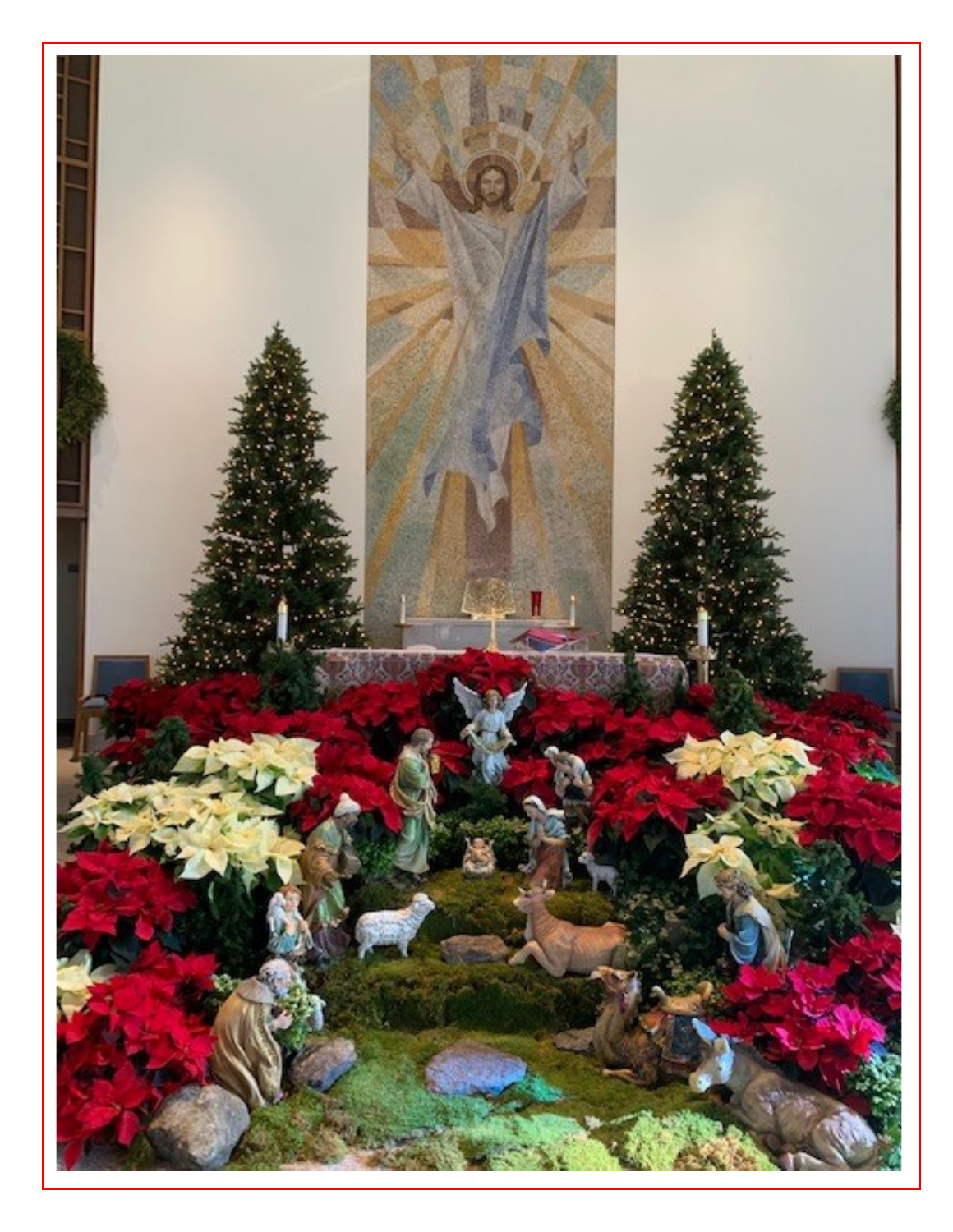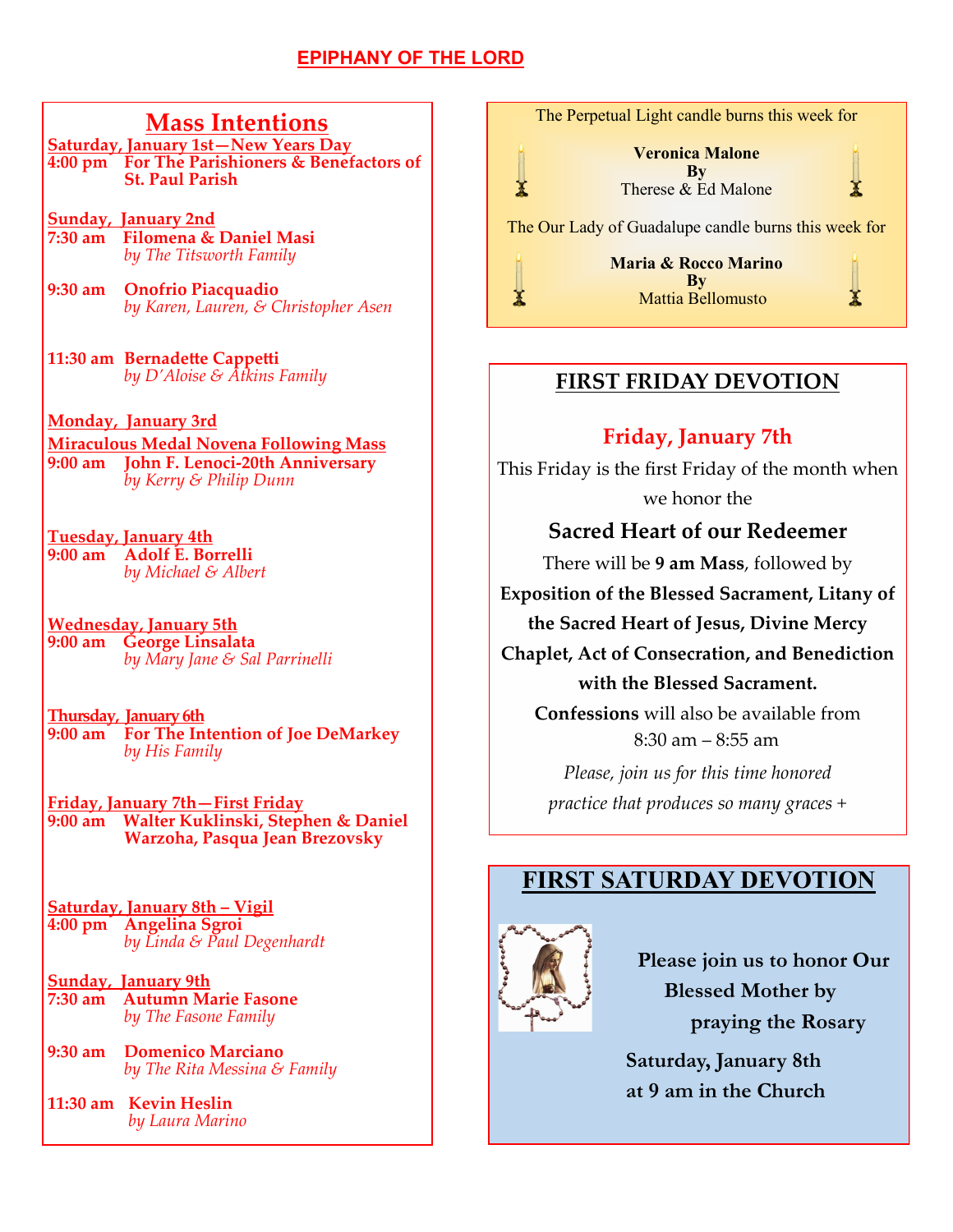Ï.

X.

## **Mass Intentions**

**Saturday, January 1st—New Years Day 4:00 pm For The Parishioners & Benefactors of St. Paul Parish**

**Sunday, January 2nd 7:30 am Filomena & Daniel Masi** *by The Titsworth Family*

**9:30 am Onofrio Piacquadio** *by Karen, Lauren, & Christopher Asen*

**11:30 am Bernadette Cappetti**  *by D'Aloise & Atkins Family*

#### **Monday, January 3rd**

**Miraculous Medal Novena Following Mass 9:00 am John F. Lenoci-20th Anniversary** *by Kerry & Philip Dunn* 

**Tuesday, January 4th 9:00 am Adolf E. Borrelli** *by Michael & Albert*

**Wednesday, January 5th 9:00 am George Linsalata** *by Mary Jane & Sal Parrinelli*

**Thursday, January 6th 9:00 am For The Intention of Joe DeMarkey** *by His Family*

**Friday, January 7th—First Friday 9:00 am Walter Kuklinski, Stephen & Daniel Warzoha, Pasqua Jean Brezovsky**

**Saturday, January 8th – Vigil 4:00 pm Angelina Sgroi** *by Linda & Paul Degenhardt*

**Sunday, January 9th 7:30 am Autumn Marie Fasone** *by The Fasone Family*

**9:30 am Domenico Marciano** *by The Rita Messina & Family*

**11:30 am Kevin Heslin** *by Laura Marino* The Perpetual Light candle burns this week for

**Veronica Malone By** Therese & Ed Malone

Ï

Ϊ

The Our Lady of Guadalupe candle burns this week for

**Maria & Rocco Marino By** Mattia Bellomusto

## **FIRST FRIDAY DEVOTION**

# **Friday, January 7th**

This Friday is the first Friday of the month when we honor the

## **Sacred Heart of our Redeemer**

There will be **9 am Mass**, followed by **Exposition of the Blessed Sacrament, Litany of the Sacred Heart of Jesus, Divine Mercy** 

**Chaplet, Act of Consecration, and Benediction with the Blessed Sacrament.**

**Confessions** will also be available from 8:30 am – 8:55 am

*Please, join us for this time honored practice that produces so many graces +*

# **FIRST SATURDAY DEVOTION**



 **Please join us to honor Our Blessed Mother by praying the Rosary**

 **Saturday, January 8th at 9 am in the Church**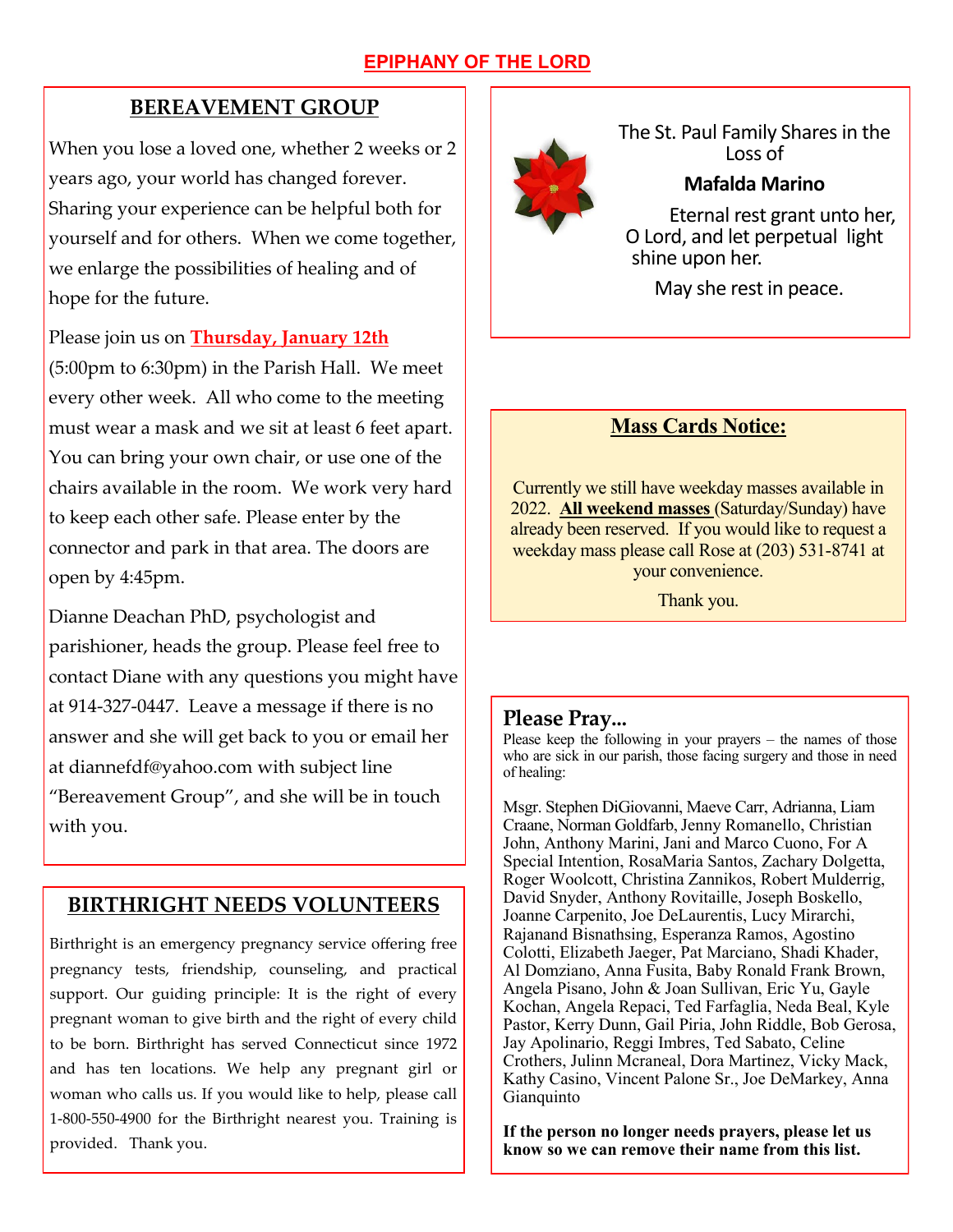## **BEREAVEMENT GROUP**

When you lose a loved one, whether 2 weeks or 2 years ago, your world has changed forever. Sharing your experience can be helpful both for yourself and for others. When we come together, we enlarge the possibilities of healing and of hope for the future.

Please join us on **Thursday, January 12th**  (5:00pm to 6:30pm) in the Parish Hall. We meet every other week. All who come to the meeting must wear a mask and we sit at least 6 feet apart. You can bring your own chair, or use one of the chairs available in the room. We work very hard to keep each other safe. Please enter by the connector and park in that area. The doors are open by 4:45pm.

Dianne Deachan PhD, psychologist and parishioner, heads the group. Please feel free to contact Diane with any questions you might have at 914-327-0447. Leave a message if there is no answer and she will get back to you or email her at diannefdf@yahoo.com with subject line "Bereavement Group", and she will be in touch with you.

## **BIRTHRIGHT NEEDS VOLUNTEERS**

Birthright is an emergency pregnancy service offering free pregnancy tests, friendship, counseling, and practical support. Our guiding principle: It is the right of every pregnant woman to give birth and the right of every child to be born. Birthright has served Connecticut since 1972 and has ten locations. We help any pregnant girl or woman who calls us. If you would like to help, please call 1-800-550-4900 for the Birthright nearest you. Training is provided. Thank you.



The St. Paul Family Shares in the Loss of

#### **Mafalda Marino**

Eternal rest grant unto her, O Lord, and let perpetual light shine upon her.

May she rest in peace.

## **Mass Cards Notice:**

Currently we still have weekday masses available in 2022. **All weekend masses** (Saturday/Sunday) have already been reserved. If you would like to request a weekday mass please call Rose at (203) 531-8741 at your convenience.

Thank you.

### **Please Pray...**

Please keep the following in your prayers – the names of those who are sick in our parish, those facing surgery and those in need of healing:

Msgr. Stephen DiGiovanni, Maeve Carr, Adrianna, Liam Craane, Norman Goldfarb, Jenny Romanello, Christian John, Anthony Marini, Jani and Marco Cuono, For A Special Intention, RosaMaria Santos, Zachary Dolgetta, Roger Woolcott, Christina Zannikos, Robert Mulderrig, David Snyder, Anthony Rovitaille, Joseph Boskello, Joanne Carpenito, Joe DeLaurentis, Lucy Mirarchi, Rajanand Bisnathsing, Esperanza Ramos, Agostino Colotti, Elizabeth Jaeger, Pat Marciano, Shadi Khader, Al Domziano, Anna Fusita, Baby Ronald Frank Brown, Angela Pisano, John & Joan Sullivan, Eric Yu, Gayle Kochan, Angela Repaci, Ted Farfaglia, Neda Beal, Kyle Pastor, Kerry Dunn, Gail Piria, John Riddle, Bob Gerosa, Jay Apolinario, Reggi Imbres, Ted Sabato, Celine Crothers, Julinn Mcraneal, Dora Martinez, Vicky Mack, Kathy Casino, Vincent Palone Sr., Joe DeMarkey, Anna Gianquinto

**If the person no longer needs prayers, please let us know so we can remove their name from this list.**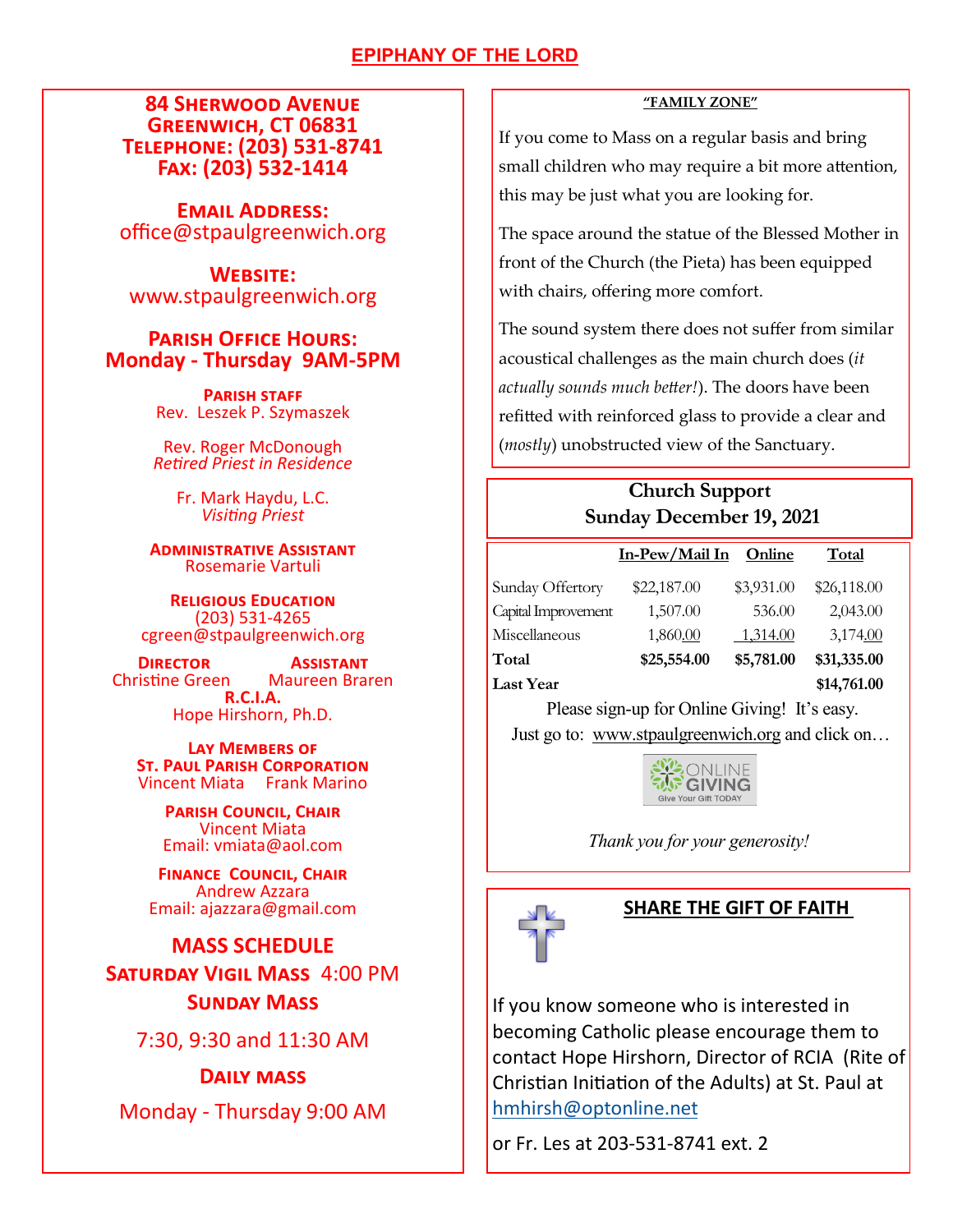#### **84 Sherwood Avenue Greenwich, CT 06831 Telephone: (203) 531-8741 Fax: (203) 532-1414**

**Email Address:** office@stpaulgreenwich.org

**Website:** www.stpaulgreenwich.org

#### **Parish Office Hours: Monday - Thursday 9AM-5PM**

**Parish staff** Rev. Leszek P. Szymaszek

Rev. Roger McDonough *Retired Priest in Residence* 

> Fr. Mark Haydu, L.C. *Visiting Priest*

**Administrative Assistant**  Rosemarie Vartuli

**Religious Education** (203) 531-4265 cgreen@stpaulgreenwich.org

**DIRECTOR ASSISTANT**<br>Christine Green **Maureen Brai Maureen Braren R.C.I.A.** Hope Hirshorn, Ph.D.

**Lay Members of St. Paul Parish Corporation** Vincent Miata Frank Marino

> **Parish Council, Chair** Vincent Miata Email: vmiata@aol.com

**Finance Council, Chair** Andrew Azzara Email: ajazzara@gmail.com

#### **MASS SCHEDULE**

**Saturday Vigil Mass** 4:00 PM **Sunday Mass**

7:30, 9:30 and 11:30 AM

#### **Daily mass**

Monday - Thursday 9:00 AM

#### **"FAMILY ZONE"**

If you come to Mass on a regular basis and bring small children who may require a bit more attention, this may be just what you are looking for.

The space around the statue of the Blessed Mother in front of the Church (the Pieta) has been equipped with chairs, offering more comfort.

The sound system there does not suffer from similar acoustical challenges as the main church does (*it actually sounds much better!*). The doors have been refitted with reinforced glass to provide a clear and (*mostly*) unobstructed view of the Sanctuary.

## **Church Support Sunday December 19, 2021**

|                     | In-Pew/Mail In | Online     | Total       |
|---------------------|----------------|------------|-------------|
| Sunday Offertory    | \$22,187.00    | \$3,931.00 | \$26,118.00 |
| Capital Improvement | 1,507.00       | 536.00     | 2,043.00    |
| Miscellaneous       | 1,860.00       | 1,314.00   | 3,174.00    |
| Total               | \$25,554.00    | \$5,781.00 | \$31,335.00 |
| <b>Last Year</b>    |                |            | \$14,761.00 |

Please sign-up for Online Giving! It's easy. Just go to: www.stpaulgreenwich.org and click on…



*Thank you for your generosity!*



#### **SHARE THE GIFT OF FAITH**

If you know someone who is interested in becoming Catholic please encourage them to contact Hope Hirshorn, Director of RCIA (Rite of Christian Initiation of the Adults) at St. Paul at [hmhirsh@optonline.net](mailto:hmhirsh@optonline.net)

or Fr. Les at 203-531-8741 ext. 2